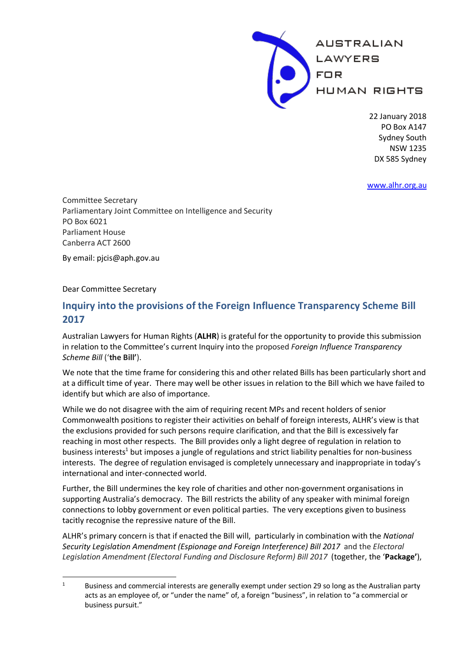

22 January 2018 PO Box A147 Sydney South NSW 1235 DX 585 Sydney

www.alhr.org.au

Committee Secretary Parliamentary Joint Committee on Intelligence and Security PO Box 6021 Parliament House Canberra ACT 2600

By email: pjcis@aph.gov.au

Dear Committee Secretary

# **Inquiry into the provisions of the Foreign Influence Transparency Scheme Bill 2017**

Australian Lawyers for Human Rights (**ALHR**) is grateful for the opportunity to provide this submission in relation to the Committee's current Inquiry into the proposed *Foreign Influence Transparency Scheme Bill* ('**the Bill'**).

We note that the time frame for considering this and other related Bills has been particularly short and at a difficult time of year. There may well be other issues in relation to the Bill which we have failed to identify but which are also of importance.

While we do not disagree with the aim of requiring recent MPs and recent holders of senior Commonwealth positions to register their activities on behalf of foreign interests, ALHR's view is that the exclusions provided for such persons require clarification, and that the Bill is excessively far reaching in most other respects. The Bill provides only a light degree of regulation in relation to business interests<sup>1</sup> but imposes a jungle of regulations and strict liability penalties for non-business interests. The degree of regulation envisaged is completely unnecessary and inappropriate in today's international and inter-connected world.

Further, the Bill undermines the key role of charities and other non-government organisations in supporting Australia's democracy. The Bill restricts the ability of any speaker with minimal foreign connections to lobby government or even political parties. The very exceptions given to business tacitly recognise the repressive nature of the Bill.

ALHR's primary concern is that if enacted the Bill will, particularly in combination with the *National Security Legislation Amendment (Espionage and Foreign Interference) Bill 2017* and the *Electoral Legislation Amendment (Electoral Funding and Disclosure Reform) Bill 2017* (together, the '**Package'**),

 <sup>1</sup> Business and commercial interests are generally exempt under section 29 so long as the Australian party acts as an employee of, or "under the name" of, a foreign "business", in relation to "a commercial or business pursuit."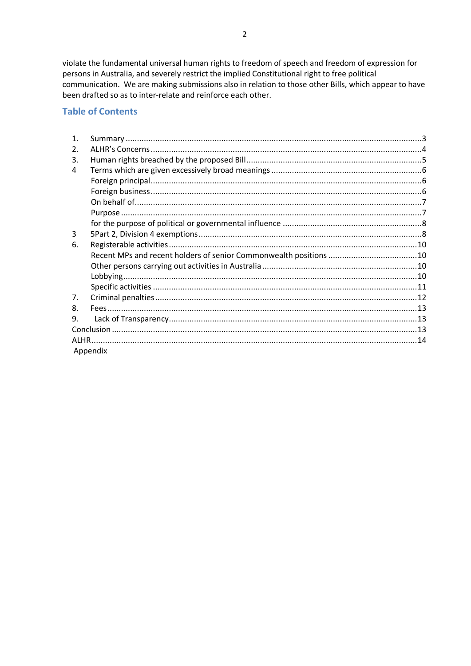violate the fundamental universal human rights to freedom of speech and freedom of expression for persons in Australia, and severely restrict the implied Constitutional right to free political communication. We are making submissions also in relation to those other Bills, which appear to have been drafted so as to inter-relate and reinforce each other.

## **Table of Contents**

| $\mathbf{1}$ . |          |  |  |  |  |
|----------------|----------|--|--|--|--|
| 2.             |          |  |  |  |  |
| 3.             |          |  |  |  |  |
| 4              |          |  |  |  |  |
|                |          |  |  |  |  |
|                |          |  |  |  |  |
|                |          |  |  |  |  |
|                |          |  |  |  |  |
|                |          |  |  |  |  |
| 3              |          |  |  |  |  |
| 6.             |          |  |  |  |  |
|                |          |  |  |  |  |
|                |          |  |  |  |  |
|                |          |  |  |  |  |
|                |          |  |  |  |  |
| 7.             |          |  |  |  |  |
| 8.             |          |  |  |  |  |
| 9.             |          |  |  |  |  |
|                |          |  |  |  |  |
|                |          |  |  |  |  |
|                | Appendix |  |  |  |  |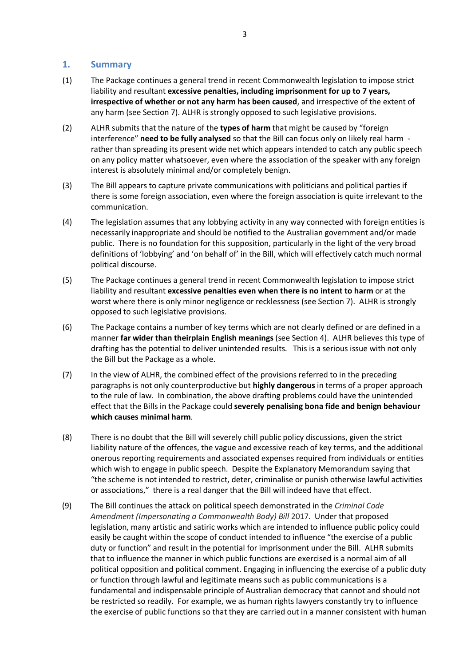### **1. Summary**

- (1) The Package continues a general trend in recent Commonwealth legislation to impose strict liability and resultant **excessive penalties, including imprisonment for up to 7 years, irrespective of whether or not any harm has been caused**, and irrespective of the extent of any harm (see Section 7). ALHR is strongly opposed to such legislative provisions.
- (2) ALHR submits that the nature of the **types of harm** that might be caused by "foreign interference" **need to be fully analysed** so that the Bill can focus only on likely real harm rather than spreading its present wide net which appears intended to catch any public speech on any policy matter whatsoever, even where the association of the speaker with any foreign interest is absolutely minimal and/or completely benign.
- (3) The Bill appears to capture private communications with politicians and political parties if there is some foreign association, even where the foreign association is quite irrelevant to the communication.
- (4) The legislation assumes that any lobbying activity in any way connected with foreign entities is necessarily inappropriate and should be notified to the Australian government and/or made public. There is no foundation for this supposition, particularly in the light of the very broad definitions of 'lobbying' and 'on behalf of' in the Bill, which will effectively catch much normal political discourse.
- (5) The Package continues a general trend in recent Commonwealth legislation to impose strict liability and resultant **excessive penalties even when there is no intent to harm** or at the worst where there is only minor negligence or recklessness (see Section 7). ALHR is strongly opposed to such legislative provisions.
- (6) The Package contains a number of key terms which are not clearly defined or are defined in a manner **far wider than theirplain English meanings** (see Section 4). ALHR believes this type of drafting has the potential to deliver unintended results. This is a serious issue with not only the Bill but the Package as a whole.
- (7) In the view of ALHR, the combined effect of the provisions referred to in the preceding paragraphs is not only counterproductive but **highly dangerous** in terms of a proper approach to the rule of law. In combination, the above drafting problems could have the unintended effect that the Bills in the Package could **severely penalising bona fide and benign behaviour which causes minimal harm**.
- (8) There is no doubt that the Bill will severely chill public policy discussions, given the strict liability nature of the offences, the vague and excessive reach of key terms, and the additional onerous reporting requirements and associated expenses required from individuals or entities which wish to engage in public speech. Despite the Explanatory Memorandum saying that "the scheme is not intended to restrict, deter, criminalise or punish otherwise lawful activities or associations," there is a real danger that the Bill will indeed have that effect.
- (9) The Bill continues the attack on political speech demonstrated in the *Criminal Code Amendment (Impersonating a Commonwealth Body) Bill* 2017. Under that proposed legislation, many artistic and satiric works which are intended to influence public policy could easily be caught within the scope of conduct intended to influence "the exercise of a public duty or function" and result in the potential for imprisonment under the Bill. ALHR submits that to influence the manner in which public functions are exercised is a normal aim of all political opposition and political comment. Engaging in influencing the exercise of a public duty or function through lawful and legitimate means such as public communications is a fundamental and indispensable principle of Australian democracy that cannot and should not be restricted so readily. For example, we as human rights lawyers constantly try to influence the exercise of public functions so that they are carried out in a manner consistent with human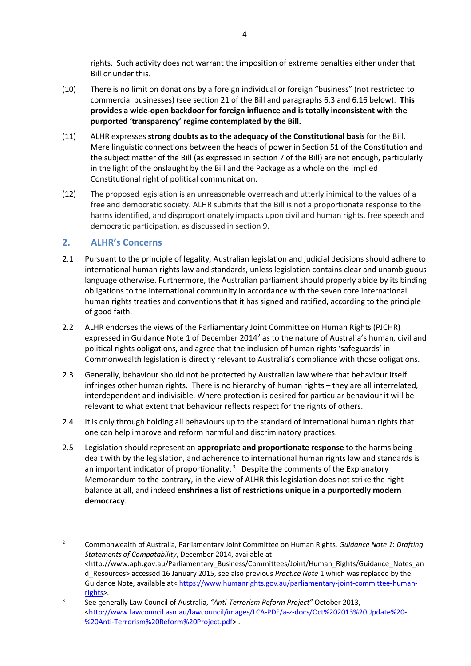rights. Such activity does not warrant the imposition of extreme penalties either under that Bill or under this.

- (10) There is no limit on donations by a foreign individual or foreign "business" (not restricted to commercial businesses) (see section 21 of the Bill and paragraphs 6.3 and 6.16 below). **This provides a wide-open backdoor for foreign influence and is totally inconsistent with the purported 'transparency' regime contemplated by the Bill.**
- (11) ALHR expresses **strong doubts as to the adequacy of the Constitutional basis** for the Bill. Mere linguistic connections between the heads of power in Section 51 of the Constitution and the subject matter of the Bill (as expressed in section 7 of the Bill) are not enough, particularly in the light of the onslaught by the Bill and the Package as a whole on the implied Constitutional right of political communication.
- (12) The proposed legislation is an unreasonable overreach and utterly inimical to the values of a free and democratic society. ALHR submits that the Bill is not a proportionate response to the harms identified, and disproportionately impacts upon civil and human rights, free speech and democratic participation, as discussed in section 9.

## **2. ALHR's Concerns**

 

- 2.1 Pursuant to the principle of legality, Australian legislation and judicial decisions should adhere to international human rights law and standards, unless legislation contains clear and unambiguous language otherwise. Furthermore, the Australian parliament should properly abide by its binding obligations to the international community in accordance with the seven core international human rights treaties and conventions that it has signed and ratified, according to the principle of good faith.
- 2.2 ALHR endorses the views of the Parliamentary Joint Committee on Human Rights (PJCHR) expressed in Guidance Note 1 of December 2014<sup>2</sup> as to the nature of Australia's human, civil and political rights obligations, and agree that the inclusion of human rights 'safeguards' in Commonwealth legislation is directly relevant to Australia's compliance with those obligations.
- 2.3 Generally, behaviour should not be protected by Australian law where that behaviour itself infringes other human rights. There is no hierarchy of human rights – they are all interrelated, interdependent and indivisible. Where protection is desired for particular behaviour it will be relevant to what extent that behaviour reflects respect for the rights of others.
- 2.4 It is only through holding all behaviours up to the standard of international human rights that one can help improve and reform harmful and discriminatory practices.
- 2.5 Legislation should represent an **appropriate and proportionate response** to the harms being dealt with by the legislation, and adherence to international human rights law and standards is an important indicator of proportionality.<sup>3</sup> Despite the comments of the Explanatory Memorandum to the contrary, in the view of ALHR this legislation does not strike the right balance at all, and indeed **enshrines a list of restrictions unique in a purportedly modern democracy**.

<sup>2</sup> Commonwealth of Australia, Parliamentary Joint Committee on Human Rights, *Guidance Note 1*: *Drafting Statements of Compatability*, December 2014, available at <http://www.aph.gov.au/Parliamentary\_Business/Committees/Joint/Human\_Rights/Guidance\_Notes\_an d\_Resources> accessed 16 January 2015, see also previous *Practice Note* 1 which was replaced by the Guidance Note, available at< https://www.humanrights.gov.au/parliamentary-joint-committee-humanrights>.

<sup>3</sup> See generally Law Council of Australia, *"Anti-Terrorism Reform Project"* October 2013, <http://www.lawcouncil.asn.au/lawcouncil/images/LCA-PDF/a-z-docs/Oct%202013%20Update%20- %20Anti-Terrorism%20Reform%20Project.pdf> .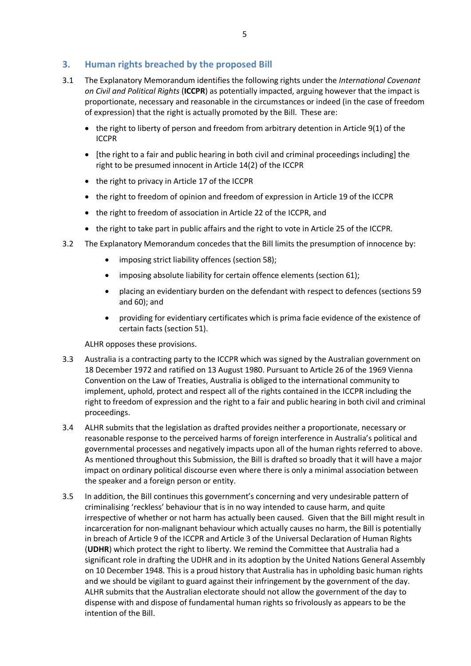## **3. Human rights breached by the proposed Bill**

- 3.1 The Explanatory Memorandum identifies the following rights under the *International Covenant on Civil and Political Rights* (**ICCPR**) as potentially impacted, arguing however that the impact is proportionate, necessary and reasonable in the circumstances or indeed (in the case of freedom of expression) that the right is actually promoted by the Bill. These are:
	- the right to liberty of person and freedom from arbitrary detention in Article 9(1) of the ICCPR
	- [the right to a fair and public hearing in both civil and criminal proceedings including] the right to be presumed innocent in Article 14(2) of the ICCPR
	- the right to privacy in Article 17 of the ICCPR
	- the right to freedom of opinion and freedom of expression in Article 19 of the ICCPR
	- the right to freedom of association in Article 22 of the ICCPR, and
	- the right to take part in public affairs and the right to vote in Article 25 of the ICCPR.
- 3.2 The Explanatory Memorandum concedes that the Bill limits the presumption of innocence by:
	- imposing strict liability offences (section 58);
	- imposing absolute liability for certain offence elements (section 61);
	- placing an evidentiary burden on the defendant with respect to defences (sections 59 and 60); and
	- providing for evidentiary certificates which is prima facie evidence of the existence of certain facts (section 51).

ALHR opposes these provisions.

- 3.3 Australia is a contracting party to the ICCPR which was signed by the Australian government on 18 December 1972 and ratified on 13 August 1980. Pursuant to Article 26 of the 1969 Vienna Convention on the Law of Treaties, Australia is obliged to the international community to implement, uphold, protect and respect all of the rights contained in the ICCPR including the right to freedom of expression and the right to a fair and public hearing in both civil and criminal proceedings.
- 3.4 ALHR submits that the legislation as drafted provides neither a proportionate, necessary or reasonable response to the perceived harms of foreign interference in Australia's political and governmental processes and negatively impacts upon all of the human rights referred to above. As mentioned throughout this Submission, the Bill is drafted so broadly that it will have a major impact on ordinary political discourse even where there is only a minimal association between the speaker and a foreign person or entity.
- 3.5 In addition, the Bill continues this government's concerning and very undesirable pattern of criminalising 'reckless' behaviour that is in no way intended to cause harm, and quite irrespective of whether or not harm has actually been caused. Given that the Bill might result in incarceration for non-malignant behaviour which actually causes no harm, the Bill is potentially in breach of Article 9 of the ICCPR and Article 3 of the Universal Declaration of Human Rights (**UDHR**) which protect the right to liberty. We remind the Committee that Australia had a significant role in drafting the UDHR and in its adoption by the United Nations General Assembly on 10 December 1948. This is a proud history that Australia has in upholding basic human rights and we should be vigilant to guard against their infringement by the government of the day. ALHR submits that the Australian electorate should not allow the government of the day to dispense with and dispose of fundamental human rights so frivolously as appears to be the intention of the Bill.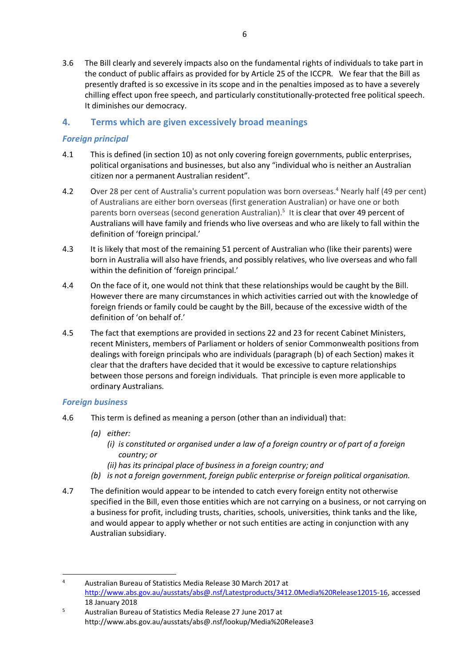3.6 The Bill clearly and severely impacts also on the fundamental rights of individuals to take part in the conduct of public affairs as provided for by Article 25 of the ICCPR. We fear that the Bill as presently drafted is so excessive in its scope and in the penalties imposed as to have a severely chilling effect upon free speech, and particularly constitutionally-protected free political speech. It diminishes our democracy.

## **4. Terms which are given excessively broad meanings**

## *Foreign principal*

- 4.1 This is defined (in section 10) as not only covering foreign governments, public enterprises, political organisations and businesses, but also any "individual who is neither an Australian citizen nor a permanent Australian resident".
- 4.2 Over 28 per cent of Australia's current population was born overseas.<sup>4</sup> Nearly half (49 per cent) of Australians are either born overseas (first generation Australian) or have one or both parents born overseas (second generation Australian).<sup>5</sup> It is clear that over 49 percent of Australians will have family and friends who live overseas and who are likely to fall within the definition of 'foreign principal.'
- 4.3 It is likely that most of the remaining 51 percent of Australian who (like their parents) were born in Australia will also have friends, and possibly relatives, who live overseas and who fall within the definition of 'foreign principal.'
- 4.4 On the face of it, one would not think that these relationships would be caught by the Bill. However there are many circumstances in which activities carried out with the knowledge of foreign friends or family could be caught by the Bill, because of the excessive width of the definition of 'on behalf of.'
- 4.5 The fact that exemptions are provided in sections 22 and 23 for recent Cabinet Ministers, recent Ministers, members of Parliament or holders of senior Commonwealth positions from dealings with foreign principals who are individuals (paragraph (b) of each Section) makes it clear that the drafters have decided that it would be excessive to capture relationships between those persons and foreign individuals. That principle is even more applicable to ordinary Australians.

### *Foreign business*

- 4.6 This term is defined as meaning a person (other than an individual) that:
	- *(a) either:*

 

- *(i) is constituted or organised under a law of a foreign country or of part of a foreign country; or*
- *(ii) has its principal place of business in a foreign country; and*
- *(b) is not a foreign government, foreign public enterprise or foreign political organisation.*
- 4.7 The definition would appear to be intended to catch every foreign entity not otherwise specified in the Bill, even those entities which are not carrying on a business, or not carrying on a business for profit, including trusts, charities, schools, universities, think tanks and the like, and would appear to apply whether or not such entities are acting in conjunction with any Australian subsidiary.

<sup>4</sup> Australian Bureau of Statistics Media Release 30 March 2017 at http://www.abs.gov.au/ausstats/abs@.nsf/Latestproducts/3412.0Media%20Release12015-16, accessed 18 January 2018

<sup>5</sup> Australian Bureau of Statistics Media Release 27 June 2017 at http://www.abs.gov.au/ausstats/abs@.nsf/lookup/Media%20Release3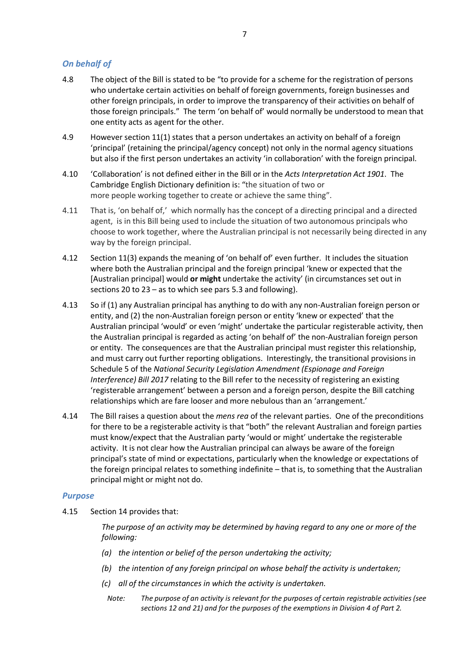## *On behalf of*

- 4.8 The object of the Bill is stated to be "to provide for a scheme for the registration of persons who undertake certain activities on behalf of foreign governments, foreign businesses and other foreign principals, in order to improve the transparency of their activities on behalf of those foreign principals." The term 'on behalf of' would normally be understood to mean that one entity acts as agent for the other.
- 4.9 However section 11(1) states that a person undertakes an activity on behalf of a foreign 'principal' (retaining the principal/agency concept) not only in the normal agency situations but also if the first person undertakes an activity 'in collaboration' with the foreign principal.
- 4.10 'Collaboration' is not defined either in the Bill or in the *Acts Interpretation Act 1901*. The Cambridge English Dictionary definition is: "the situation of two or more people working together to create or achieve the same thing".
- 4.11 That is, 'on behalf of,' which normally has the concept of a directing principal and a directed agent, is in this Bill being used to include the situation of two autonomous principals who choose to work together, where the Australian principal is not necessarily being directed in any way by the foreign principal.
- 4.12 Section 11(3) expands the meaning of 'on behalf of' even further. It includes the situation where both the Australian principal and the foreign principal 'knew or expected that the [Australian principal] would **or might** undertake the activity' (in circumstances set out in sections 20 to 23 – as to which see pars 5.3 and following).
- 4.13 So if (1) any Australian principal has anything to do with any non-Australian foreign person or entity, and (2) the non-Australian foreign person or entity 'knew or expected' that the Australian principal 'would' or even 'might' undertake the particular registerable activity, then the Australian principal is regarded as acting 'on behalf of' the non-Australian foreign person or entity. The consequences are that the Australian principal must register this relationship, and must carry out further reporting obligations. Interestingly, the transitional provisions in Schedule 5 of the *National Security Legislation Amendment (Espionage and Foreign Interference) Bill 2017* relating to the Bill refer to the necessity of registering an existing 'registerable arrangement' between a person and a foreign person, despite the Bill catching relationships which are fare looser and more nebulous than an 'arrangement.'
- 4.14 The Bill raises a question about the *mens rea* of the relevant parties. One of the preconditions for there to be a registerable activity is that "both" the relevant Australian and foreign parties must know/expect that the Australian party 'would or might' undertake the registerable activity. It is not clear how the Australian principal can always be aware of the foreign principal's state of mind or expectations, particularly when the knowledge or expectations of the foreign principal relates to something indefinite – that is, to something that the Australian principal might or might not do.

#### *Purpose*

4.15 Section 14 provides that:

*The purpose of an activity may be determined by having regard to any one or more of the following:*

- *(a) the intention or belief of the person undertaking the activity;*
- *(b) the intention of any foreign principal on whose behalf the activity is undertaken;*
- *(c) all of the circumstances in which the activity is undertaken.*
	- *Note: The purpose of an activity is relevant for the purposes of certain registrable activities (see sections 12 and 21) and for the purposes of the exemptions in Division 4 of Part 2.*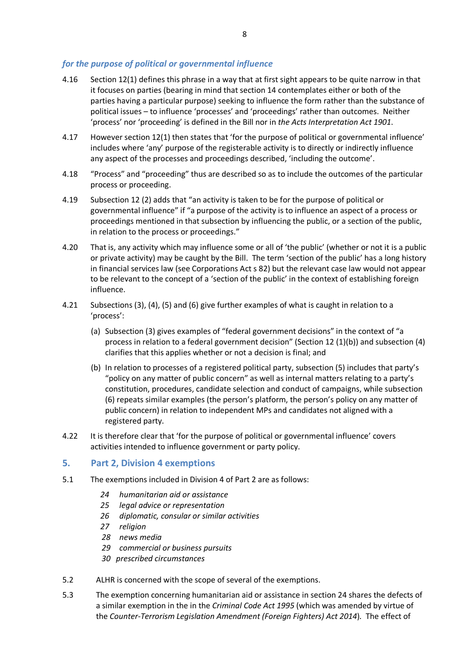### *for the purpose of political or governmental influence*

- 4.16 Section 12(1) defines this phrase in a way that at first sight appears to be quite narrow in that it focuses on parties (bearing in mind that section 14 contemplates either or both of the parties having a particular purpose) seeking to influence the form rather than the substance of political issues – to influence 'processes' and 'proceedings' rather than outcomes. Neither 'process' nor 'proceeding' is defined in the Bill nor in *the Acts Interpretation Act 1901*.
- 4.17 However section 12(1) then states that 'for the purpose of political or governmental influence' includes where 'any' purpose of the registerable activity is to directly or indirectly influence any aspect of the processes and proceedings described, 'including the outcome'.
- 4.18 "Process" and "proceeding" thus are described so as to include the outcomes of the particular process or proceeding.
- 4.19 Subsection 12 (2) adds that "an activity is taken to be for the purpose of political or governmental influence" if "a purpose of the activity is to influence an aspect of a process or proceedings mentioned in that subsection by influencing the public, or a section of the public, in relation to the process or proceedings."
- 4.20 That is, any activity which may influence some or all of 'the public' (whether or not it is a public or private activity) may be caught by the Bill. The term 'section of the public' has a long history in financial services law (see Corporations Act s 82) but the relevant case law would not appear to be relevant to the concept of a 'section of the public' in the context of establishing foreign influence.
- 4.21 Subsections (3), (4), (5) and (6) give further examples of what is caught in relation to a 'process':
	- (a) Subsection (3) gives examples of "federal government decisions" in the context of "a process in relation to a federal government decision" (Section 12 (1)(b)) and subsection (4) clarifies that this applies whether or not a decision is final; and
	- (b) In relation to processes of a registered political party, subsection (5) includes that party's "policy on any matter of public concern" as well as internal matters relating to a party's constitution, procedures, candidate selection and conduct of campaigns, while subsection (6) repeats similar examples (the person's platform, the person's policy on any matter of public concern) in relation to independent MPs and candidates not aligned with a registered party.
- 4.22 It is therefore clear that 'for the purpose of political or governmental influence' covers activities intended to influence government or party policy.

#### **5. Part 2, Division 4 exemptions**

- 5.1 The exemptions included in Division 4 of Part 2 are as follows:
	- *24 humanitarian aid or assistance*
	- *25 legal advice or representation*
	- *26 diplomatic, consular or similar activities*
	- *27 religion*
	- *28 news media*
	- *29 commercial or business pursuits*
	- *30 prescribed circumstances*
- 5.2 ALHR is concerned with the scope of several of the exemptions.
- 5.3 The exemption concerning humanitarian aid or assistance in section 24 shares the defects of a similar exemption in the in the *Criminal Code Act 1995* (which was amended by virtue of the *Counter-Terrorism Legislation Amendment (Foreign Fighters) Act 2014*)*.* The effect of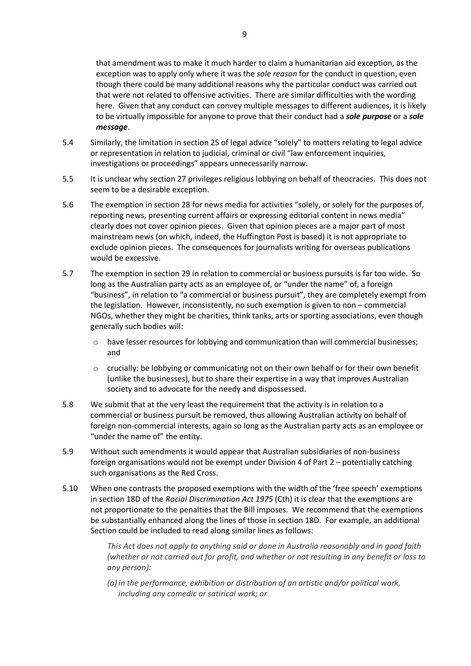that amendment was to make it much harder to claim a humanitarian aid exception, as the exception was to apply only where it was the *sole reason* for the conduct in question, even though there could be many additional reasons why the particular conduct was carried out that were not related to offensive activities. There are similar difficulties with the wording here. Given that any conduct can convey multiple messages to different audiences, it is likely to be virtually impossible for anyone to prove that their conduct had a *sole purpose* or a *sole message*.

- 5.4 Similarly, the limitation in section 25 of legal advice "solely" to matters relating to legal advice or representation in relation to judicial, criminal or civil "law enforcement inquiries, investigations or proceedings" appears unnecessarily narrow.
- 5.5 It is unclear why section 27 privileges religious lobbying on behalf of theocracies. This does not seem to be a desirable exception.
- 5.6 The exemption in section 28 for news media for activities "solely, or solely for the purposes of, reporting news, presenting current affairs or expressing editorial content in news media" clearly does not cover opinion pieces. Given that opinion pieces are a major part of most mainstream news (on which, indeed, the Huffington Post is based) it is not appropriate to exclude opinion pieces. The consequences for journalists writing for overseas publications would be excessive.
- 5.7 The exemption in section 29 in relation to commercial or business pursuits is far too wide. So long as the Australian party acts as an employee of, or "under the name" of, a foreign "business", in relation to "a commercial or business pursuit", they are completely exempt from the legislation. However, inconsistently, no such exemption is given to non – commercial NGOs, whether they might be charities, think tanks, arts or sporting associations, even though generally such bodies will:
	- $\circ$  have lesser resources for lobbying and communication than will commercial businesses; and
	- $\circ$  crucially: be lobbying or communicating not on their own behalf or for their own benefit (unlike the businesses), but to share their expertise in a way that improves Australian society and to advocate for the needy and dispossessed.
- 5.8 We submit that at the very least the requirement that the activity is in relation to a commercial or business pursuit be removed, thus allowing Australian activity on behalf of foreign non-commercial interests, again so long as the Australian party acts as an employee or "under the name of" the entity.
- 5.9 Without such amendments it would appear that Australian subsidiaries of non-business foreign organisations would not be exempt under Division 4 of Part 2 – potentially catching such organisations as the Red Cross.
- 5.10 When one contrasts the proposed exemptions with the width of the 'free speech' exemptions in section 18D of the *Racial Discrimination Act 1975* (Cth) it is clear that the exemptions are not proportionate to the penalties that the Bill imposes. We recommend that the exemptions be substantially enhanced along the lines of those in section 18D. For example, an additional Section could be included to read along similar lines as follows:

*This Act does not apply to anything said or done in Australia reasonably and in good faith (whether or not carried out for profit, and whether or not resulting in any benefit or loss to any person):*

*(a) in the performance, exhibition or distribution of an artistic and/or political work, including any comedic or satirical work; or*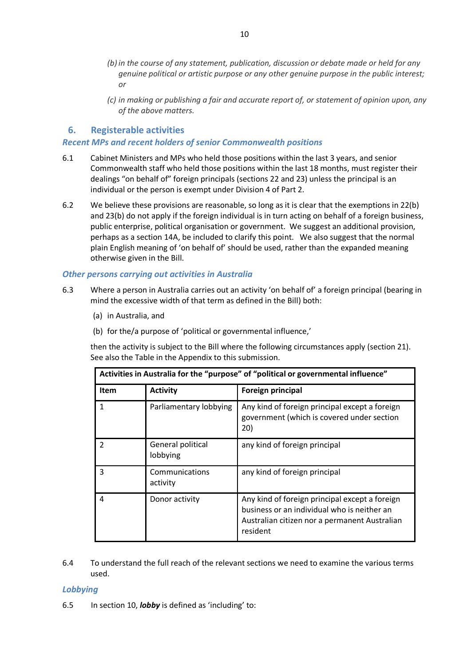- *(b) in the course of any statement, publication, discussion or debate made or held for any genuine political or artistic purpose or any other genuine purpose in the public interest; or*
- *(c) in making or publishing a fair and accurate report of, or statement of opinion upon, any of the above matters.*

### **6. Registerable activities**

#### *Recent MPs and recent holders of senior Commonwealth positions*

- 6.1 Cabinet Ministers and MPs who held those positions within the last 3 years, and senior Commonwealth staff who held those positions within the last 18 months, must register their dealings "on behalf of" foreign principals (sections 22 and 23) unless the principal is an individual or the person is exempt under Division 4 of Part 2.
- 6.2 We believe these provisions are reasonable, so long as it is clear that the exemptions in 22(b) and 23(b) do not apply if the foreign individual is in turn acting on behalf of a foreign business, public enterprise, political organisation or government. We suggest an additional provision, perhaps as a section 14A, be included to clarify this point. We also suggest that the normal plain English meaning of 'on behalf of' should be used, rather than the expanded meaning otherwise given in the Bill.

#### *Other persons carrying out activities in Australia*

- 6.3 Where a person in Australia carries out an activity 'on behalf of' a foreign principal (bearing in mind the excessive width of that term as defined in the Bill) both:
	- (a) in Australia, and
	- (b) for the/a purpose of 'political or governmental influence,'

then the activity is subject to the Bill where the following circumstances apply (section 21). See also the Table in the Appendix to this submission.

| Activities in Australia for the "purpose" of "political or governmental influence" |                               |                                                                                                                                                            |  |  |  |  |  |
|------------------------------------------------------------------------------------|-------------------------------|------------------------------------------------------------------------------------------------------------------------------------------------------------|--|--|--|--|--|
| <b>Item</b>                                                                        | <b>Activity</b>               | Foreign principal                                                                                                                                          |  |  |  |  |  |
| 1                                                                                  | Parliamentary lobbying        | Any kind of foreign principal except a foreign<br>government (which is covered under section<br>20)                                                        |  |  |  |  |  |
| $\mathfrak{p}$                                                                     | General political<br>lobbying | any kind of foreign principal                                                                                                                              |  |  |  |  |  |
| 3                                                                                  | Communications<br>activity    | any kind of foreign principal                                                                                                                              |  |  |  |  |  |
| 4                                                                                  | Donor activity                | Any kind of foreign principal except a foreign<br>business or an individual who is neither an<br>Australian citizen nor a permanent Australian<br>resident |  |  |  |  |  |

6.4 To understand the full reach of the relevant sections we need to examine the various terms used.

#### *Lobbying*

6.5 In section 10, *lobby* is defined as 'including' to: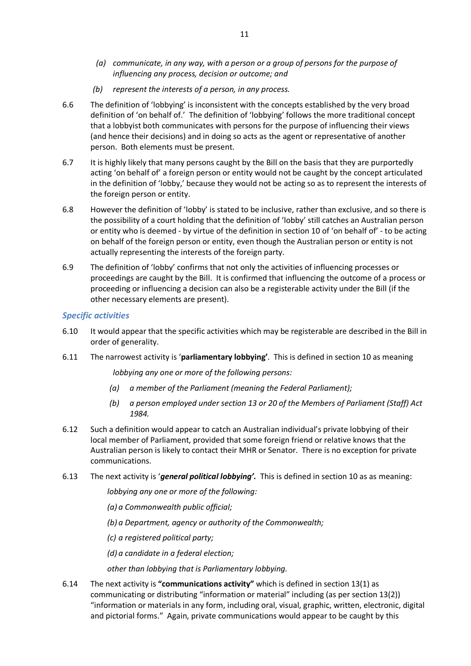- *(a) communicate, in any way, with a person or a group of persons for the purpose of influencing any process, decision or outcome; and*
- *(b) represent the interests of a person, in any process.*
- 6.6 The definition of 'lobbying' is inconsistent with the concepts established by the very broad definition of 'on behalf of.' The definition of 'lobbying' follows the more traditional concept that a lobbyist both communicates with persons for the purpose of influencing their views (and hence their decisions) and in doing so acts as the agent or representative of another person. Both elements must be present.
- 6.7 It is highly likely that many persons caught by the Bill on the basis that they are purportedly acting 'on behalf of' a foreign person or entity would not be caught by the concept articulated in the definition of 'lobby,' because they would not be acting so as to represent the interests of the foreign person or entity.
- 6.8 However the definition of 'lobby' is stated to be inclusive, rather than exclusive, and so there is the possibility of a court holding that the definition of 'lobby' still catches an Australian person or entity who is deemed - by virtue of the definition in section 10 of 'on behalf of' - to be acting on behalf of the foreign person or entity, even though the Australian person or entity is not actually representing the interests of the foreign party.
- 6.9 The definition of 'lobby' confirms that not only the activities of influencing processes or proceedings are caught by the Bill. It is confirmed that influencing the outcome of a process or proceeding or influencing a decision can also be a registerable activity under the Bill (if the other necessary elements are present).

#### *Specific activities*

- 6.10 It would appear that the specific activities which may be registerable are described in the Bill in order of generality.
- 6.11 The narrowest activity is '**parliamentary lobbying'**. This is defined in section 10 as meaning

*lobbying any one or more of the following persons:*

- *(a) a member of the Parliament (meaning the Federal Parliament);*
- *(b) a person employed under section 13 or 20 of the Members of Parliament (Staff) Act 1984.*
- 6.12 Such a definition would appear to catch an Australian individual's private lobbying of their local member of Parliament, provided that some foreign friend or relative knows that the Australian person is likely to contact their MHR or Senator. There is no exception for private communications.
- 6.13 The next activity is '*general political lobbying'.* This is defined in section 10 as as meaning:

*lobbying any one or more of the following:*

*(a) a Commonwealth public official;*

*(b) a Department, agency or authority of the Commonwealth;*

*(c) a registered political party;*

*(d) a candidate in a federal election;*

*other than lobbying that is Parliamentary lobbying.*

6.14 The next activity is **"communications activity"** which is defined in section 13(1) as communicating or distributing "information or material" including (as per section 13(2)) "information or materials in any form, including oral, visual, graphic, written, electronic, digital and pictorial forms." Again, private communications would appear to be caught by this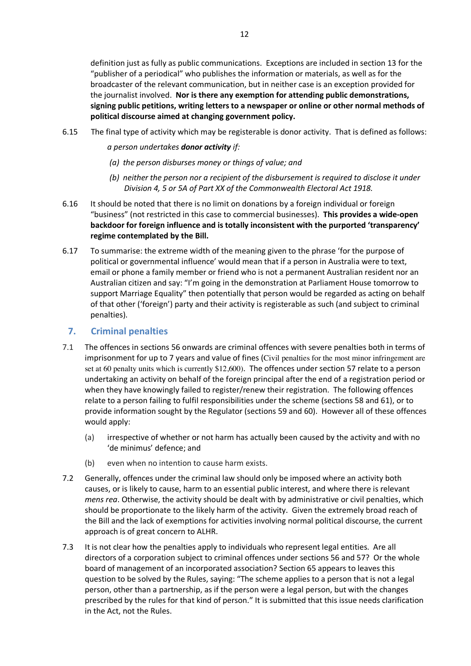definition just as fully as public communications. Exceptions are included in section 13 for the "publisher of a periodical" who publishes the information or materials, as well as for the broadcaster of the relevant communication, but in neither case is an exception provided for the journalist involved. **Nor is there any exemption for attending public demonstrations, signing public petitions, writing letters to a newspaper or online or other normal methods of political discourse aimed at changing government policy.**

- 6.15 The final type of activity which may be registerable is donor activity. That is defined as follows:
	- *a person undertakes donor activity if:*
	- *(a) the person disburses money or things of value; and*
	- *(b) neither the person nor a recipient of the disbursement is required to disclose it under Division 4, 5 or 5A of Part XX of the Commonwealth Electoral Act 1918.*
- 6.16 It should be noted that there is no limit on donations by a foreign individual or foreign "business" (not restricted in this case to commercial businesses). **This provides a wide-open backdoor for foreign influence and is totally inconsistent with the purported 'transparency' regime contemplated by the Bill.**
- 6.17 To summarise: the extreme width of the meaning given to the phrase 'for the purpose of political or governmental influence' would mean that if a person in Australia were to text, email or phone a family member or friend who is not a permanent Australian resident nor an Australian citizen and say: "I'm going in the demonstration at Parliament House tomorrow to support Marriage Equality" then potentially that person would be regarded as acting on behalf of that other ('foreign') party and their activity is registerable as such (and subject to criminal penalties).

## **7. Criminal penalties**

- 7.1 The offences in sections 56 onwards are criminal offences with severe penalties both in terms of imprisonment for up to 7 years and value of fines (Civil penalties for the most minor infringement are set at 60 penalty units which is currently \$12,600). The offences under section 57 relate to a person undertaking an activity on behalf of the foreign principal after the end of a registration period or when they have knowingly failed to register/renew their registration. The following offences relate to a person failing to fulfil responsibilities under the scheme (sections 58 and 61), or to provide information sought by the Regulator (sections 59 and 60). However all of these offences would apply:
	- (a) irrespective of whether or not harm has actually been caused by the activity and with no 'de minimus' defence; and
	- (b) even when no intention to cause harm exists.
- 7.2 Generally, offences under the criminal law should only be imposed where an activity both causes, or is likely to cause, harm to an essential public interest, and where there is relevant *mens rea*. Otherwise, the activity should be dealt with by administrative or civil penalties, which should be proportionate to the likely harm of the activity. Given the extremely broad reach of the Bill and the lack of exemptions for activities involving normal political discourse, the current approach is of great concern to ALHR.
- 7.3 It is not clear how the penalties apply to individuals who represent legal entities. Are all directors of a corporation subject to criminal offences under sections 56 and 57? Or the whole board of management of an incorporated association? Section 65 appears to leaves this question to be solved by the Rules, saying: "The scheme applies to a person that is not a legal person, other than a partnership, as if the person were a legal person, but with the changes prescribed by the rules for that kind of person." It is submitted that this issue needs clarification in the Act, not the Rules.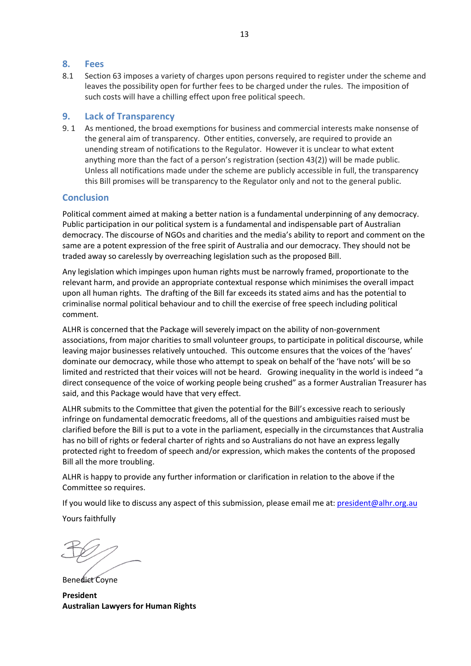#### **8. Fees**

8.1 Section 63 imposes a variety of charges upon persons required to register under the scheme and leaves the possibility open for further fees to be charged under the rules. The imposition of such costs will have a chilling effect upon free political speech.

### **9. Lack of Transparency**

9. 1 As mentioned, the broad exemptions for business and commercial interests make nonsense of the general aim of transparency. Other entities, conversely, are required to provide an unending stream of notifications to the Regulator. However it is unclear to what extent anything more than the fact of a person's registration (section 43(2)) will be made public. Unless all notifications made under the scheme are publicly accessible in full, the transparency this Bill promises will be transparency to the Regulator only and not to the general public.

### **Conclusion**

Political comment aimed at making a better nation is a fundamental underpinning of any democracy. Public participation in our political system is a fundamental and indispensable part of Australian democracy. The discourse of NGOs and charities and the media's ability to report and comment on the same are a potent expression of the free spirit of Australia and our democracy. They should not be traded away so carelessly by overreaching legislation such as the proposed Bill.

Any legislation which impinges upon human rights must be narrowly framed, proportionate to the relevant harm, and provide an appropriate contextual response which minimises the overall impact upon all human rights. The drafting of the Bill far exceeds its stated aims and has the potential to criminalise normal political behaviour and to chill the exercise of free speech including political comment.

ALHR is concerned that the Package will severely impact on the ability of non-government associations, from major charities to small volunteer groups, to participate in political discourse, while leaving major businesses relatively untouched. This outcome ensures that the voices of the 'haves' dominate our democracy, while those who attempt to speak on behalf of the 'have nots' will be so limited and restricted that their voices will not be heard. Growing inequality in the world is indeed "a direct consequence of the voice of working people being crushed" as a former Australian Treasurer has said, and this Package would have that very effect.

ALHR submits to the Committee that given the potential for the Bill's excessive reach to seriously infringe on fundamental democratic freedoms, all of the questions and ambiguities raised must be clarified before the Bill is put to a vote in the parliament, especially in the circumstances that Australia has no bill of rights or federal charter of rights and so Australians do not have an express legally protected right to freedom of speech and/or expression, which makes the contents of the proposed Bill all the more troubling.

ALHR is happy to provide any further information or clarification in relation to the above if the Committee so requires.

If you would like to discuss any aspect of this submission, please email me at: president@alhr.org.au

Yours faithfully

Benedict Coyne

**President Australian Lawyers for Human Rights**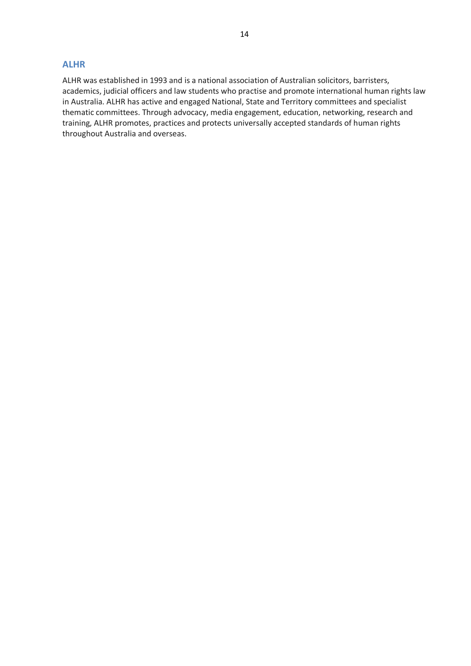#### **ALHR**

ALHR was established in 1993 and is a national association of Australian solicitors, barristers, academics, judicial officers and law students who practise and promote international human rights law in Australia. ALHR has active and engaged National, State and Territory committees and specialist thematic committees. Through advocacy, media engagement, education, networking, research and training, ALHR promotes, practices and protects universally accepted standards of human rights throughout Australia and overseas.